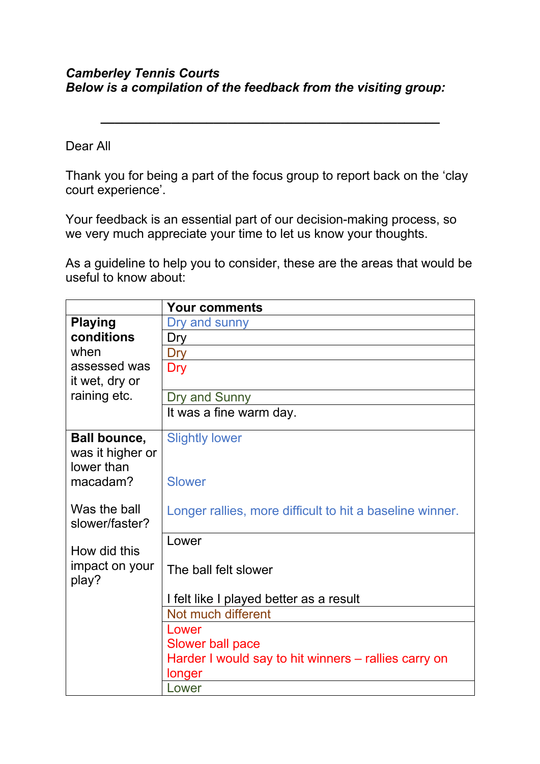## *Camberley Tennis Courts Below is a compilation of the feedback from the visiting group:*

Dear All

Thank you for being a part of the focus group to report back on the 'clay court experience'.

*\_\_\_\_\_\_\_\_\_\_\_\_\_\_\_\_\_\_\_\_\_\_\_\_\_\_\_\_\_\_\_\_\_\_\_\_\_\_\_\_\_\_\_\_\_\_\_\_*

Your feedback is an essential part of our decision-making process, so we very much appreciate your time to let us know your thoughts.

As a guideline to help you to consider, these are the areas that would be useful to know about:

|                                | <b>Your comments</b>                                     |
|--------------------------------|----------------------------------------------------------|
| <b>Playing</b>                 | Dry and sunny                                            |
| conditions                     | Dry                                                      |
| when                           | Dry                                                      |
| assessed was                   | Dry                                                      |
| it wet, dry or                 |                                                          |
| raining etc.                   | Dry and Sunny                                            |
|                                | It was a fine warm day.                                  |
| <b>Ball bounce,</b>            | <b>Slightly lower</b>                                    |
| was it higher or               |                                                          |
| lower than                     |                                                          |
| macadam?                       | <b>Slower</b>                                            |
|                                |                                                          |
| Was the ball<br>slower/faster? | Longer rallies, more difficult to hit a baseline winner. |
|                                |                                                          |
| How did this                   | Lower                                                    |
| impact on your                 | The ball felt slower                                     |
| play?                          |                                                          |
|                                | I felt like I played better as a result                  |
|                                | Not much different                                       |
|                                | Lower                                                    |
|                                | <b>Slower ball pace</b>                                  |
|                                | Harder I would say to hit winners – rallies carry on     |
|                                | longer                                                   |
|                                | Lower                                                    |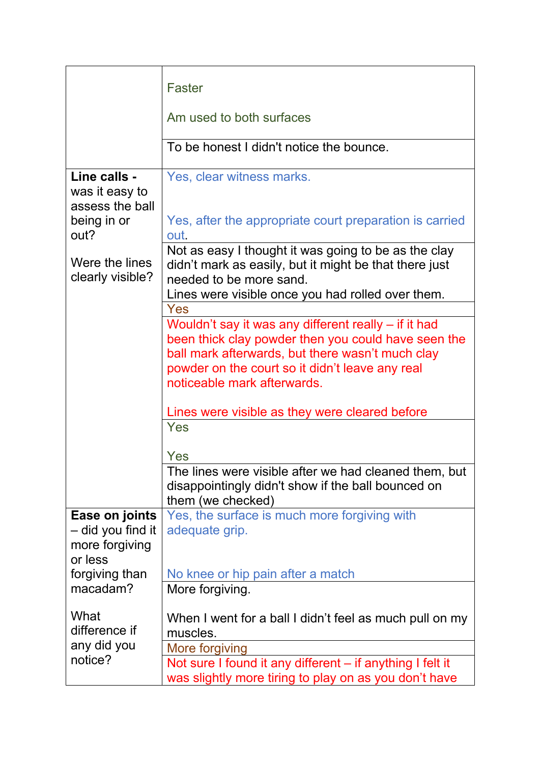|                                                                          | <b>Faster</b>                                                                                                                                                                             |
|--------------------------------------------------------------------------|-------------------------------------------------------------------------------------------------------------------------------------------------------------------------------------------|
|                                                                          | Am used to both surfaces                                                                                                                                                                  |
|                                                                          | To be honest I didn't notice the bounce.                                                                                                                                                  |
| Line calls -<br>was it easy to<br>assess the ball<br>being in or<br>out? | Yes, clear witness marks.<br>Yes, after the appropriate court preparation is carried                                                                                                      |
|                                                                          | out.                                                                                                                                                                                      |
| Were the lines<br>clearly visible?                                       | Not as easy I thought it was going to be as the clay<br>didn't mark as easily, but it might be that there just<br>needed to be more sand.                                                 |
|                                                                          | Lines were visible once you had rolled over them.                                                                                                                                         |
|                                                                          | Yes<br>Wouldn't say it was any different really – if it had                                                                                                                               |
|                                                                          | been thick clay powder then you could have seen the<br>ball mark afterwards, but there wasn't much clay<br>powder on the court so it didn't leave any real<br>noticeable mark afterwards. |
|                                                                          | Lines were visible as they were cleared before                                                                                                                                            |
|                                                                          | Yes                                                                                                                                                                                       |
|                                                                          | Yes                                                                                                                                                                                       |
|                                                                          | The lines were visible after we had cleaned them, but<br>disappointingly didn't show if the ball bounced on<br>them (we checked)                                                          |
| Ease on joints<br>- did you find it<br>more forgiving<br>or less         | Yes, the surface is much more forgiving with<br>adequate grip.                                                                                                                            |
| forgiving than                                                           | No knee or hip pain after a match                                                                                                                                                         |
| macadam?                                                                 | More forgiving.                                                                                                                                                                           |
| What<br>difference if                                                    | When I went for a ball I didn't feel as much pull on my<br>muscles.                                                                                                                       |
| any did you                                                              | More forgiving                                                                                                                                                                            |
| notice?                                                                  | Not sure I found it any different – if anything I felt it<br>was slightly more tiring to play on as you don't have                                                                        |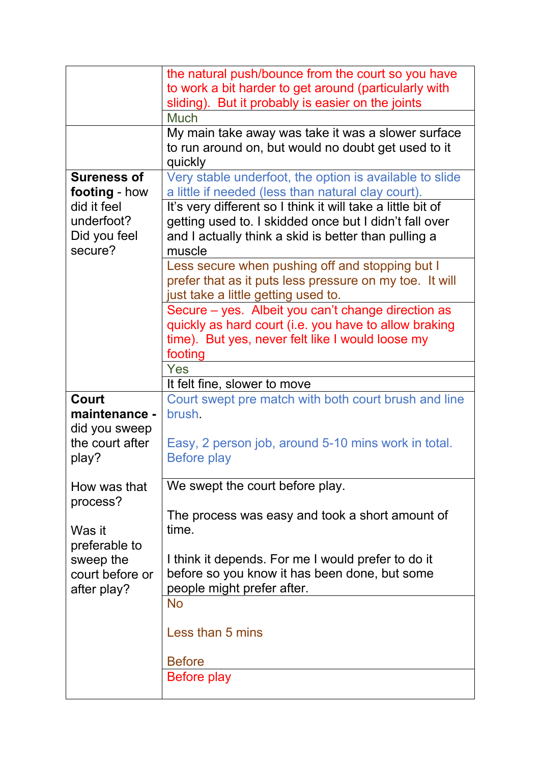|                                                      | the natural push/bounce from the court so you have<br>to work a bit harder to get around (particularly with<br>sliding). But it probably is easier on the joints                        |
|------------------------------------------------------|-----------------------------------------------------------------------------------------------------------------------------------------------------------------------------------------|
|                                                      | <b>Much</b>                                                                                                                                                                             |
|                                                      | My main take away was take it was a slower surface<br>to run around on, but would no doubt get used to it<br>quickly                                                                    |
| <b>Sureness of</b><br>footing - how                  | Very stable underfoot, the option is available to slide<br>a little if needed (less than natural clay court).                                                                           |
| did it feel<br>underfoot?<br>Did you feel<br>secure? | It's very different so I think it will take a little bit of<br>getting used to. I skidded once but I didn't fall over<br>and I actually think a skid is better than pulling a<br>muscle |
|                                                      | Less secure when pushing off and stopping but I<br>prefer that as it puts less pressure on my toe. It will<br>just take a little getting used to.                                       |
|                                                      | Secure – yes. Albeit you can't change direction as<br>quickly as hard court (i.e. you have to allow braking<br>time). But yes, never felt like I would loose my<br>footing              |
|                                                      | Yes                                                                                                                                                                                     |
|                                                      | It felt fine, slower to move                                                                                                                                                            |
| Court                                                | Court swept pre match with both court brush and line                                                                                                                                    |
| maintenance -                                        | brush.                                                                                                                                                                                  |
| did you sweep                                        |                                                                                                                                                                                         |
| the court after                                      | Easy, 2 person job, around 5-10 mins work in total.                                                                                                                                     |
| play?                                                | <b>Before play</b>                                                                                                                                                                      |
|                                                      |                                                                                                                                                                                         |
| How was that                                         |                                                                                                                                                                                         |
|                                                      | We swept the court before play.                                                                                                                                                         |
| process?<br>Was it                                   | The process was easy and took a short amount of<br>time.                                                                                                                                |
| preferable to                                        |                                                                                                                                                                                         |
| sweep the                                            | I think it depends. For me I would prefer to do it                                                                                                                                      |
| court before or                                      | before so you know it has been done, but some                                                                                                                                           |
| after play?                                          | people might prefer after.                                                                                                                                                              |
|                                                      | <b>No</b>                                                                                                                                                                               |
|                                                      | Less than 5 mins                                                                                                                                                                        |
|                                                      | <b>Before</b><br><b>Before play</b>                                                                                                                                                     |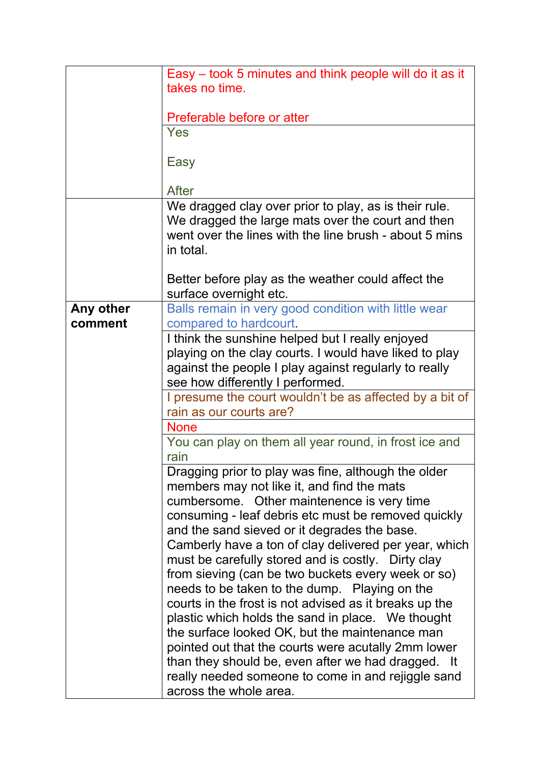|           | Easy – took 5 minutes and think people will do it as it       |
|-----------|---------------------------------------------------------------|
|           | takes no time.                                                |
|           |                                                               |
|           | Preferable before or atter                                    |
|           | Yes                                                           |
|           |                                                               |
|           | Easy                                                          |
|           |                                                               |
|           | After                                                         |
|           | We dragged clay over prior to play, as is their rule.         |
|           | We dragged the large mats over the court and then             |
|           | went over the lines with the line brush - about 5 mins        |
|           | in total.                                                     |
|           |                                                               |
|           | Better before play as the weather could affect the            |
|           | surface overnight etc.                                        |
| Any other | Balls remain in very good condition with little wear          |
| comment   | compared to hardcourt.                                        |
|           | I think the sunshine helped but I really enjoyed              |
|           | playing on the clay courts. I would have liked to play        |
|           | against the people I play against regularly to really         |
|           | see how differently I performed.                              |
|           | I presume the court wouldn't be as affected by a bit of       |
|           | rain as our courts are?                                       |
|           | <b>None</b>                                                   |
|           |                                                               |
|           | You can play on them all year round, in frost ice and<br>rain |
|           |                                                               |
|           | Dragging prior to play was fine, although the older           |
|           | members may not like it, and find the mats                    |
|           | cumbersome. Other maintenence is very time                    |
|           | consuming - leaf debris etc must be removed quickly           |
|           | and the sand sieved or it degrades the base.                  |
|           | Camberly have a ton of clay delivered per year, which         |
|           | must be carefully stored and is costly. Dirty clay            |
|           | from sieving (can be two buckets every week or so)            |
|           | needs to be taken to the dump. Playing on the                 |
|           | courts in the frost is not advised as it breaks up the        |
|           | plastic which holds the sand in place. We thought             |
|           | the surface looked OK, but the maintenance man                |
|           | pointed out that the courts were acutally 2mm lower           |
|           | than they should be, even after we had dragged. It            |
|           | really needed someone to come in and rejiggle sand            |
|           | across the whole area.                                        |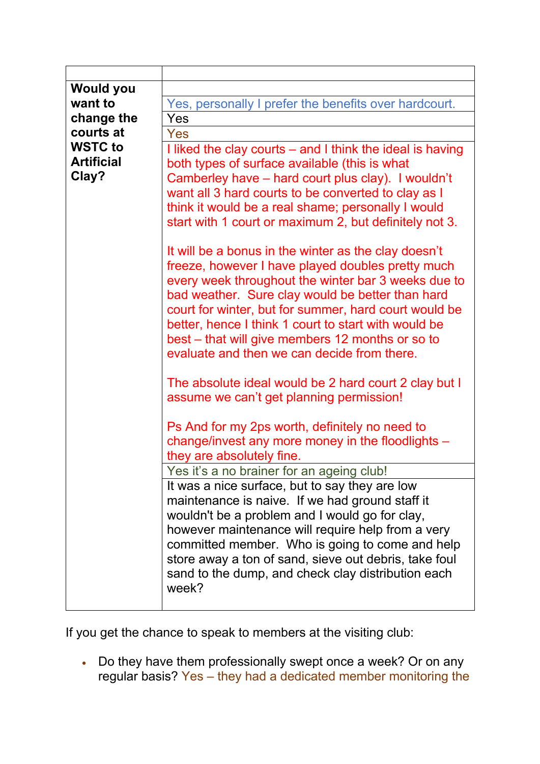| <b>Would you</b>  |                                                           |
|-------------------|-----------------------------------------------------------|
| want to           | Yes, personally I prefer the benefits over hardcourt.     |
| change the        | Yes                                                       |
| courts at         | Yes                                                       |
| <b>WSTC to</b>    | I liked the clay courts – and I think the ideal is having |
| <b>Artificial</b> | both types of surface available (this is what             |
| Clay?             | Camberley have – hard court plus clay). I wouldn't        |
|                   | want all 3 hard courts to be converted to clay as I       |
|                   | think it would be a real shame; personally I would        |
|                   | start with 1 court or maximum 2, but definitely not 3.    |
|                   |                                                           |
|                   | It will be a bonus in the winter as the clay doesn't      |
|                   | freeze, however I have played doubles pretty much         |
|                   | every week throughout the winter bar 3 weeks due to       |
|                   | bad weather. Sure clay would be better than hard          |
|                   | court for winter, but for summer, hard court would be     |
|                   | better, hence I think 1 court to start with would be      |
|                   | best - that will give members 12 months or so to          |
|                   | evaluate and then we can decide from there.               |
|                   |                                                           |
|                   | The absolute ideal would be 2 hard court 2 clay but I     |
|                   | assume we can't get planning permission!                  |
|                   |                                                           |
|                   | Ps And for my 2ps worth, definitely no need to            |
|                   | change/invest any more money in the floodlights -         |
|                   | they are absolutely fine.                                 |
|                   | Yes it's a no brainer for an ageing club!                 |
|                   | It was a nice surface, but to say they are low            |
|                   | maintenance is naive. If we had ground staff it           |
|                   | wouldn't be a problem and I would go for clay,            |
|                   | however maintenance will require help from a very         |
|                   | committed member. Who is going to come and help           |
|                   | store away a ton of sand, sieve out debris, take foul     |
|                   | sand to the dump, and check clay distribution each        |
|                   | week?                                                     |
|                   |                                                           |

If you get the chance to speak to members at the visiting club:

• Do they have them professionally swept once a week? Or on any regular basis? Yes – they had a dedicated member monitoring the